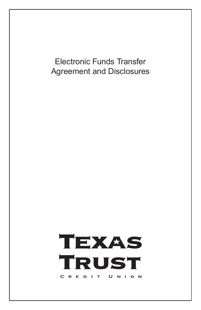Electronic Funds Transfer Agreement and Disclosures

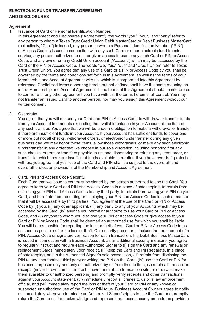# **ELECTRONIC FUNDS TRANSFER AGREEMENT AND DISCLOSURES**

# **Agreement**

1. Issuance of Card or Personal Identification Number.

In this Agreement and Disclosures ("Agreement"), the words "you," "your," and "party" refer to any person to whom a Texas Trust Credit Union Debit MasterCard or Debit Business MasterCard (collectively, "Card") is issued, any person to whom a Personal Identification Number ("PIN") or Access Code is issued in connection with any such Card or other electronic fund transfer service, any person authorized to use or given access to use to any such Card or PIN or Access Code, and any owner on any Credit Union account ("Account") which may be accessed by the Card or the PIN or Access Code. The words "we," "us," "our," and "Credit Union" refer to Texas Trust Credit Union. You agree that any use of a Card or a PIN or Access Code by you shall be governed by the terms and conditions set forth in this Agreement, as well as the terms of your Membership and Account Agreement with us, which is incorporated into this Agreement by reference. Capitalized terms appearing herein but not defined shall have the same meaning as in the Membership and Account Agreement. If the terms of this Agreement should be interpreted to conflict with any other agreement you have with us, the terms herein shall control. You may not transfer an issued Card to another person, nor may you assign this Agreement without our written consent.

2. Overdrafts.

You agree that you will not use your Card and PIN or Access Code to withdraw or transfer funds from your Account in amounts exceeding the available balance in your Account at the time of any such transfer. You agree that we will be under no obligation to make a withdrawal or transfer if there are insufficient funds in your Account. If your Account has sufficient funds to cover one or more but not all checks, withdrawal orders, or electronic funds transfer during any given business day, we may honor those items, allow those withdrawals, or make any such electronic funds transfer in any order that we choose in our sole discretion including honoring first any such checks, orders, or transfers payable to us, and dishonoring or refusing any item, order, or transfer for which there are insufficient funds available thereafter. If you have overdraft protection with us, you agree that your use of the Card and PIN shall be subject to the overdraft and overdraft protection provisions of the Membership and Account Agreement.

3. Card, PIN and Access Code Security.

Each Card that we issue to you must be signed by the person authorized to use the Card. You agree to keep your Card and PIN and Access Codes in a place of safekeeping, to refrain from disclosing your PIN and Access Codes to any third party, to refrain from writing your PIN on your Card, and to refrain from recording or displaying your PIN and Access Codes in such a manner that it will be accessible by third parties. You agree that the use of the Card or PIN or Access Code by (i) you, (ii) any other applicant, (iii) any party to any of your Accounts which may be accessed by the Card, (iv) anyone you permit or authorize to use your Card or PIN or Access Code, and (v) anyone to whom you disclose your PIN or Access Code or give access to your Card or PIN or Access Code shall be deemed an authorized use for which you shall be liable. You will be responsible for reporting the loss or theft of your Card or PIN or Access Code to us as soon as possible after the loss or theft. Our security procedures include the requirement of a PIN, Access Code or signature verification for each transaction. If a Debit Business MasterCard is issued in connection with a Business Account, as an additional security measure, you agree to regularly instruct and require each Authorized Signer to (i) sign the Card and any renewal or replacement Cards immediately upon receipt, (ii) keep the Card and PIN separate, in a place of safekeeping, and in the Authorized Signer's sole possession, (iii) refrain from disclosing the PIN to any unauthorized third party or writing the PIN on the Card, (iv) use the Card or PIN for business purposes only and only as authorized by us from time to time, (v) retain all transaction receipts (never throw them in the trash, leave them at the transaction site, or otherwise make them available to unauthorized persons) and promptly verify receipts and other transactions against your Account statement, (vi) immediately report all crimes to us or a law enforcement official, and (vii) immediately report the loss or theft of your Card or PIN or any known or suspected unauthorized use of the Card or PIN to us. Business Account Owners agree to notify us immediately when you terminate an Authorized Signer's rights to use the Card and promptly return the Card to us. You acknowledge and represent that these security procedures provide a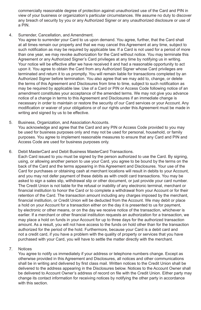commercially reasonable degree of protection against unauthorized use of the Card and PIN in view of your business or organization's particular circumstances. We assume no duty to discover any breach of security by you or any Authorized Signer or any unauthorized disclosure or use of a PIN.

4. Surrender, Cancellation, and Amendment.

You agree to surrender your Card to us upon demand. You agree, further, that the Card shall at all times remain our property and that we may cancel this Agreement at any time, subject to such notification as may be required by applicable law. If a Card is not used for a period of more than one year, we may revoke authorization for the Card without notice. You may terminate this Agreement or any Authorized Signer's Card privileges at any time by notifying us in writing. Your notice will be effective after we have received it and had a reasonable opportunity to act upon it. You agree to obtain the Card from any Authorized Signer whose Card privileges are terminated and return it to us promptly. You will remain liable for transactions completed by an Authorized Signer before termination. You also agree that we may add to, change, or delete the terms of this Agreement and Disclosures from time to time, subject to such notification as may be required by applicable law. Use of a Card or PIN or Access Code following notice of an amendment constitutes your acceptance of the amended terms. We may not give you advance notice of a change in terms to this Agreement and Disclosures if an immediate change is necessary in order to maintain or restore the security of our Card services or your Account. Any modification or waiver of your obligations or of our rights under this Agreement must be made in writing and signed by us to be effective.

5. Business, Organization, and Association Accounts. You acknowledge and agree that the Card and any PIN or Access Code provided to you may be used for business purposes only and may not be used for personal, household, or family purposes. You agree to implement reasonable measures to ensure that any Card and PIN and Access Code are used for business purposes only.

6. Debit MasterCard and Debit Business MasterCard Transactions.

Each Card issued to you must be signed by the person authorized to use the Card. By signing, using, or allowing another person to use your Card, you agree to be bound by the terms on the back of the Card and the terms appearing in this Agreement and Disclosures. Your use of the Card for purchases or obtaining cash at merchant locations will result in debits to your Account, and you may not defer payment of these debits as with credit card transactions. You may be asked to sign a sales slip, withdrawal slip or other document, or just provide your card number. The Credit Union is not liable for the refusal or inability of any electronic terminal, merchant or financial institution to honor the Card or to complete a withdrawal from your Account or for their retention of the Card. The transaction amount including any charges imposed by the merchant, financial institution, or Credit Union will be deducted from the Account. We may debit or place a hold on your Account for a transaction either on the day it is presented to us for payment, by electronic or other means, or on the day we receive notice of the transaction, whichever is earlier. If a merchant or other financial institution requests an authorization for a transaction, we may place a hold on funds in your Account for up to three days for the authorized transaction amount. As a result, you will not have access to the funds on hold other than for the transaction authorized for the period of the hold. Furthermore, because your Card is a debit card and not a credit card, if you have a problem with the quality of property or services that you have purchased with your Card, you will have to settle the matter directly with the merchant.

 $7^{\circ}$ **Notices** 

You agree to notify us immediately if your address or telephone numbers change. Except as otherwise provided in this Agreement and Disclosures, all notices and other communications shall be in writing and delivered by first class mail. Written notices to the Credit Union shall be delivered to the address appearing in the Disclosures below. Notices to the Account Owner shall be delivered to Account Owner's address of record on file with the Credit Union. Either party may change its contact information for receiving notices by notifying the other party in accordance with this section.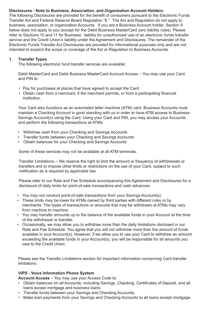# **Disclosures - Note to Business, Association, and Organization Account Holders.**

The following Disclosures are provided for the benefit of consumers pursuant to the Electronic Funds Transfer Act and Federal Reserve Board Regulation "E." The Act and Regulation do not apply to business, association, or organization Accounts. If you are a Business Account holder, Section 9 below does not apply to you (except for the Debit Business MasterCard zero liability rules). Please refer to Sections 10 and 11 for Business' liability for unauthorized use of an electronic funds transfer service and the Credit Union's liability under the Agreement and Disclosures. The remainder of the Electronic Funds Transfer Act Disclosures are provided for informational purposes only and are not intended to expand the scope or coverage of the Act or Regulation to Business Accounts.

# **1. Transfer Types**

The following electronic fund transfer services are available:

Debit MasterCard and Debit Business MasterCard Account Access – You may use your Card and PIN to:

- Pay for purchases at places that have agreed to accept the Card.
- Obtain cash from a merchant, if the merchant permits, or from a participating financial institution.

Your Card also functions as an automated teller machine (ATM) card. Business Accounts must maintain a Checking Account in good standing with us in order to have ATM access to Business Savings Account(s) using the Card. Using your Card and PIN, you may access your Accounts and perform the following transactions at ATMs:

- Withdraw cash from your Checking and Savings Accounts
- Transfer funds between your Checking and Savings Accounts
- Obtain balances for your Checking and Savings Accounts

Some of these services may not be available at all ATM terminals.

Transfer Limitations – We reserve the right to limit the amount or frequency of withdrawals or transfers and to impose other limits or restrictions on the use of your Card, subject to such notification as is required by applicable law.

Please refer to our Rate and Fee Schedule accompanying this Agreement and Disclosures for a disclosure of daily limits for point-of-sale transactions and cash advances.

- You may not conduct point-of-sale transactions from your Savings Account(s).
- These limits may be lower for ATMs owned by third parties with different rules or by merchants. The types of transactions or amounts that may be withdrawn at ATMs may vary from machine to machine.
- You may transfer amounts up to the balance of the available funds in your Account at the time of the withdrawal or transfer.
- Occasionally, we may allow you to withdraw more than the daily limitations disclosed in our Rate and Fee Schedule. You agree that you will not withdraw more than the amount of funds available in your Account(s). However, if we allow you to use your Card to withdraw an amount exceeding the available funds in your Account(s), you will be responsible for all amounts you owe to the Credit Union.

Please see the Transfer Limitations section for important information concerning Card transfer limitations.

### **VIPS - Voice Information Phone System**

**Account Access** – You may use your Access Code to:

- Obtain balances on all Accounts, including Savings, Checking, Certificates of Deposit, and all loans except mortgage and business loans.
- Transfer funds between your Savings and Checking Accounts.
- Make loan payments from your Savings and Checking Accounts to all loans except mortgage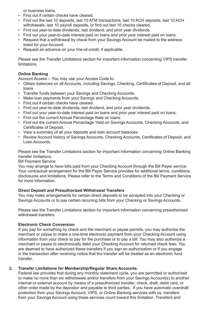or business loans.

- Find out if certain checks have cleared.
- Find out the last 10 deposits, last 10 ATM transactions, last 10 ACH deposits, last 10 ACH withdrawals, last 10 payroll deposits, or find out last 10 checks cleared.
- Find out year-to-date dividends, last dividend, and prior year dividends.
- Find out your year-to-date interest paid on loans and prior year interest paid on loans.
- Request that a withdrawal by check from your Savings Account be mailed to the address listed for your Account.
- Request an advance on your line-of-credit, if applicable.

Please see the Transfer Limitations section for important information concerning VIPS transfer limitations.

# **Online Banking**

Account Access -- You may use your Access Code to:

- Obtain balances on all Accounts, including Savings, Checking, Certificates of Deposit, and all loans.
- Transfer funds between your Savings and Checking Accounts.
- Make loan payments from your Savings and Checking Accounts.
- Find out if certain checks have cleared.
- Find out year-to-date dividends, last dividend, and prior year dividends.
- Find out your year-to-date interest paid on loans and prior year interest paid on loans.
- Find out the current Annual Percentage Rate on loans.
- Find out the current Annual Percentage Yield on Savings Accounts, Checking Accounts, and Certificates of Deposit.
- View a summary of all your deposits and loan account balances.
- Review Account history of Savings Accounts, Checking Accounts, Certificates of Deposit, and Loan Accounts.

Please see the Transfer Limitations section for important information concerning Online Banking transfer limitations.

Bill Payment Service

You may arrange to have bills paid from your Checking Account through the Bill Payer service. Your contractual arrangement for the Bill Payer Service provides for additional terms, conditions, disclosures and limitations. Please refer to the Terms and Conditions of the Bill Payment Service for more information

### **Direct Deposit and Preauthorized Withdrawal Transfers**

You may make arrangements for certain direct deposits to be accepted into your Checking or Savings Accounts or to pay certain recurring bills from your Checking or Savings Accounts.

Please see the Transfer Limitations section for important information concerning preauthorized withdrawal transfers

### **Electronic Check Conversion**

If you pay for something by check and the merchant or payee permits, you may authorize the merchant or payee to make a one-time electronic payment from your Checking Account using information from your check to pay for the purchase or to pay a bill. You may also authorize a merchant or payee to electronically debit your Checking Account for returned check fees. You are deemed to have authorized these transfers if you sign an authorization or if you engage in the transaction after receiving notice that the transfer will be treated as an electronic fund transfer.

### **2. Transfer Limitations for Membership/Regular Share Accounts.**

Federal law provides that during any monthly statement cycle, you are permitted or authorized to make no more than six withdrawals and/or transfers from your Savings Account(s) to another internal or external account by means of a preauthorized transfer, check, draft, debit card, or other order made by the depositor and payable to third parties. If you have automatic overdraft protection from your Savings Account, VIPS, or Online Banking services with us, transfers from your Savings Account using these services count toward this limitation. Transfers and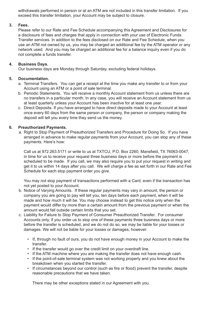withdrawals performed in person or at an ATM are not included in this transfer limitation. If you exceed this transfer limitation, your Account may be subject to closure.

### **3. Fees.**

Please refer to our Rate and Fee Schedule accompanying this Agreement and Disclosures for a disclosure of fees and charges that apply in connection with your use of Electronic Funds Transfer services. In addition to the fees disclosed on our Rate and Fee Schedule, when you use an ATM not owned by us, you may be charged an additional fee by the ATM operator or any network used. And you may be charged an additional fee for a balance inquiry even if you do not complete a funds transfer.

#### **4. Business Days.**

Our business days are Monday through Saturday, excluding federal holidays.

#### **5. Documentation.**

- a. Terminal Transfers. You can get a receipt at the time you make any transfer to or from your Account using an ATM or a point of sale terminal.
- b. Periodic Statements. You will receive a monthly Account statement from us unless there are no transfers in a particular month. In any case, you will receive an Account statement from us at least quarterly unless your Account has been inactive for at least one year.
- c. Direct Deposits. If you have arranged to have direct deposits made to your Account at least once every 60 days from the same person or company, the person or company making the deposit will tell you every time they send us the money.

#### **6. Preauthorized Payments.**

a. Right to Stop Payment of Preauthorized Transfers and Procedure for Doing So. If you have arranged in advance to make regular payments from your Account, you can stop any of these payments. Here's how:

Call us at 972.263.5171 or write to us at TXTCU, P.O. Box 2260, Mansfield, TX 76063-0047, in time for us to receive your request three business days or more before the payment is scheduled to be made. If you call, we may also require you to put your request in writing and get it to us within 14 days after you call. We will charge a fee as set forth in our Rate and Fee Schedule for each stop payment order you give.

You may not stop payment of transactions performed with a Card, even if the transaction has not yet posted to your Account.

- b. Notice of Varying Amounts. If these regular payments may vary in amount, the person or company you are going to pay will tell you, ten days before each payment, when it will be made and how much it will be. You may choose instead to get this notice only when the payment would differ by more than a certain amount from the previous payment or when the amount would fall outside certain limits that you set.
- c. Liability for Failure to Stop Payment of Consumer Preauthorized Transfer. For consumer Accounts only, if you order us to stop one of these payments three business days or more before the transfer is scheduled, and we do not do so, we may be liable for your losses or damages. We will not be liable for your losses or damages, however:
	- If, through no fault of ours, you do not have enough money in your Account to make the transfer.
	- If the transfer would go over the credit limit on your overdraft line.
	- If the ATM machine where you are making the transfer does not have enough cash.
	- If the point-of-sale terminal system was not working properly and you knew about the breakdown when you started the transfer.
	- If circumstances beyond our control (such as fire or flood) prevent the transfer, despite reasonable precautions that we have taken.

There may be other exceptions stated in our Agreement with you.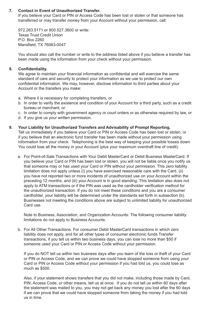### **7. Contact in Event of Unauthorized Transfer.**

If you believe your Card or PIN or Access Code has been lost or stolen or that someone has transferred or may transfer money from your Account without your permission, call:

972.263.5171 or 800.527.3600 or write: Texas Trust Credit Union P.O. Box 2260 Mansfield, TX 76063-0047

You should also call the number or write to the address listed above if you believe a transfer has been made using the information from your check without your permission.

### **8. Confidentiality.**

We agree to maintain your financial information as confidential and will exercise the same standard of care and security to protect your information as we use to protect our own confidential information. We may, however, disclose information to third parties about your Account or the transfers you make:

- a. Where it is necessary for completing transfers, or
- b. In order to verify the existence and condition of your Account for a third party, such as a credit bureau or merchant, or
- c. In order to comply with government agency or court orders or as otherwise required by law, or
- d. If you give us your written permission.

#### **9. Your Liability for Unauthorized Transfers and Advisability of Prompt Reporting.**

Tell us immediately if you believe your Card or PIN or Access Code has been lost or stolen, or if you believe that an electronic fund transfer has been made without your permission using information from your check. Telephoning is the best way of keeping your possible losses down. You could lose all the money in your Account (plus your maximum overdraft line of credit).

a. For Point-of-Sale Transactions with Your Debit MasterCard or Debit Business MasterCard. If you believe your Card or PIN has been lost or stolen, you will not be liable once you notify us that someone may or has used your Card or PIN without your permission. This zero liability limitation does not apply unless (i) you have exercised reasonable care with the Card, (ii) you have not reported two or more incidents of unauthorized use on your Account within the preceding 12 months, and (iii) your Account is in good standing. This limitation also does not apply to ATM transactions or if the PIN was used as the cardholder verification method for the unauthorized transaction. If you do not meet these conditions and you are a consumer cardholder, your liability will be determined under the standards set forth in subsection (b). Businesses not meeting the conditions above are subject to unlimited liability for unauthorized Card use.

Note to Business, Association, and Organization Accounts: The following consumer liability limitations do not apply to Business Accounts.

b. For All Other Transactions. For consumer Debit MasterCard transactions in which zero liability does not apply, and for all other types of consumer electronic funds Transfer transactions, if you tell us within two business days, you can lose no more than \$50 if someone used your Card or PIN or Access Code without your permission.

If you do NOT tell us within two business days after you learn of the loss or theft of your Card or PIN or Access Code, and we can prove we could have stopped someone from using your Card or PIN or Access Code without your permission if you had told us, you could lose as much as \$500.

Also, if your statement shows transfers that you did not make, including those made by Card, PIN, Access Code, or other means, tell us at once. If you do not tell us within 60 days after the statement was mailed to you, you may not get back any money you lost after the 60 days if we can prove that we could have stopped someone from taking the money if you had told us in time.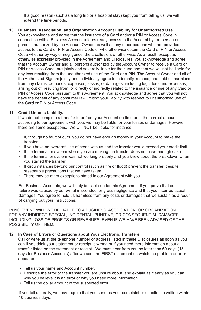If a good reason (such as a long trip or a hospital stay) kept you from telling us, we will extend the time periods.

### **10. Business, Association, and Organization Account Liability for Unauthorized Use.**

You acknowledge and agree that the issuance of a Card and/or a PIN or Access Code in connection with a Business Account affords ready access to the Account by the person or persons authorized by the Account Owner, as well as any other persons who are provided access to the Card or PIN or Access Code or who otherwise obtain the Card or PIN or Access Code whether by way of negligence, theft, collusion, or otherwise. As a result, except as otherwise expressly provided in the Agreement and Disclosures, you acknowledge and agree that the Account Owner and all persons authorized by the Account Owner to receive a Card or PIN or Access Code, are jointly and severally liable for their use and that we will not be liable for any loss resulting from the unauthorized use of the Card or a PIN. The Account Owner and all of the Authorized Signers jointly and individually agree to indemnify, release, and hold us harmless from any claims, demands, expenses, losses, or damages, including legal fees and expenses, arising out of, resulting from, or directly or indirectly related to the issuance or use of any Card or PIN or Access Code pursuant to this Agreement. You acknowledge and agree that you will not have the benefit of any consumer law limiting your liability with respect to unauthorized use of the Card or PIN or Access Code.

#### **11. Credit Union's Liability.**

If we do not complete a transfer to or from your Account on time or in the correct amount according to our agreement with you, we may be liable for your losses or damages. However, there are some exceptions. We will NOT be liable, for instance:

- If, through no fault of ours, you do not have enough money in your Account to make the transfer.
- If you have an overdraft line of credit with us and the transfer would exceed your credit limit.
- If the terminal or system where you are making the transfer does not have enough cash.
- If the terminal or system was not working properly and you knew about the breakdown when you started the transfer.
- If circumstances beyond our control (such as fire or flood) prevent the transfer, despite reasonable precautions that we have taken.
- There may be other exceptions stated in our Agreement with you.

For Business Accounts, we will only be liable under this Agreement if you prove that our failure was caused by our willful misconduct or gross negligence and that you incurred actual damages. You agree to hold us harmless from any costs or damages that we sustain as a result of carrying out your instructions.

IN NO EVENT WILL WE BE LIABLE TO A BUSINESS, ASSOCIATION, OR ORGANIZATION FOR ANY INDIRECT, SPECIAL, INCIDENTAL, PUNITIVE, OR CONSEQUENTIAL DAMAGES, INCLUDING LOSS OF PROFITS OR REVENUES, EVEN IF WE HAVE BEEN ADVISED OF THE POSSIBILITY OF THEM.

#### **12. In Case of Errors or Questions about Your Electronic Transfers.**

Call or write us at the telephone number or address listed in these Disclosures as soon as you can if you think your statement or receipt is wrong or if you need more information about a transfer listed on the statement or receipt. We must hear from you no later than 60 days (15 days for Business Accounts) after we sent the FIRST statement on which the problem or error appeared.

- Tell us your name and Account number.
- Describe the error or the transfer you are unsure about, and explain as clearly as you can why you believe it is an error or why you need more information.
- Tell us the dollar amount of the suspected error.

If you tell us orally, we may require that you send us your complaint or question in writing within 10 business days.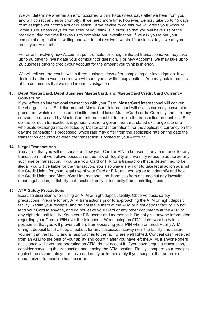We will determine whether an error occurred within 10 business days after we hear from you and will correct any error promptly. If we need more time, however, we may take up to 45 days to investigate your complaint or question. If we decide to do this, we will credit your Account within 10 business days for the amount you think is in error, so that you will have use of the money during the time it takes us to complete our investigation. If we ask you to put your complaint or question in writing and we do not receive it within 10 business days, we may not credit your Account.

For errors involving new Accounts, point-of-sale, or foreign-initiated transactions, we may take up to 90 days to investigate your complaint or question. For new Accounts, we may take up to 20 business days to credit your Account for the amount you think is in error.

We will tell you the results within three business days after completing our investigation. If we decide that there was no error, we will send you a written explanation. You may ask for copies of the documents that we used in our investigation.

### **13. Debit MasterCard, Debit Business MasterCard, and MasterCard Credit Card Currency Conversion.**

If you effect an international transaction with your Card, MasterCard International will convert the charge into a U.S. dollar amount. MasterCard International will use its currency conversion procedure, which is disclosed to institutions that issue MasterCard cards. Currently, the currency conversion rate used by MasterCard International to determine the transaction amount in U.S. dollars for such transactions is generally either a government-mandated exchange rate or a wholesale exchange rate selected by MasterCard International for the applicable currency on the day the transaction is processed, which rate may differ from the applicable rate on the date the transaction occurred or when the transaction is posted to your Account.

#### **14. Illegal Transactions.**

You agree that you will not cause or allow your Card or PIN to be used in any manner or for any transaction that we believe poses an undue risk of illegality and we may refuse to authorize any such use or transaction. If you use your Card or PIN for a transaction that is determined to be illegal, you will be liable for the transaction. You also waive any right to take legal action against the Credit Union for your illegal use of your Card or PIN, and you agree to indemnify and hold the Credit Union and MasterCard International, Inc. harmless from and against any lawsuits, other legal action, or liability that results directly or indirectly from such illegal use.

### **15. ATM Safety Precautions.**

Exercise discretion when using an ATM or night deposit facility. Observe basic safety precautions. Prepare for any ATM transactions prior to approaching the ATM or night deposit facility. Retain your receipts, and do not leave them at the ATM or night deposit facility. Do not lend your Card to anyone, and do not leave your Card or any other documents at the ATM or any night deposit facility. Keep your PIN secret and memorize it. Do not give anyone information regarding your Card or PIN over the telephone. When using an ATM, place your body in a position so that you will prevent others from observing your PIN when entered. At any ATM or night deposit facility, keep a lookout for any suspicious activity near the facility and assure yourself that the facility and all approaches to the facility are well lighted. Conceal cash received from an ATM to the best of your ability and count it after you have left the ATM. If anyone offers assistance while you are operating an ATM, do not accept it. If you have begun a transaction, consider canceling the transaction and leaving the ATM location. Finally, compare your receipts against the statements you receive and notify us immediately if you suspect that an error or unauthorized transaction has occurred.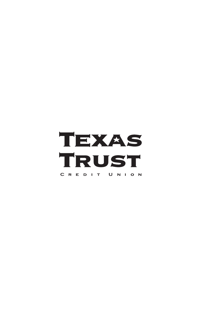